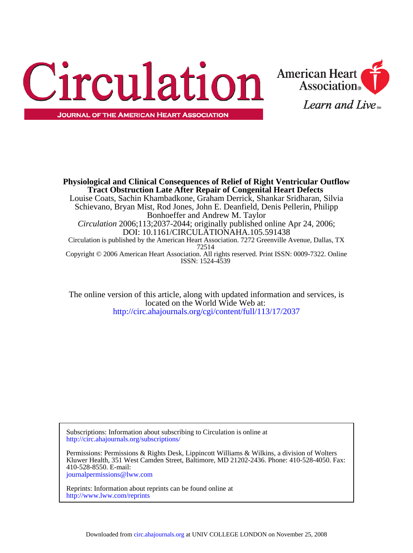



ISSN: 1524-4539 Copyright © 2006 American Heart Association. All rights reserved. Print ISSN: 0009-7322. Online 72514 Circulation is published by the American Heart Association. 7272 Greenville Avenue, Dallas, TX DOI: 10.1161/CIRCULATIONAHA.105.591438 *Circulation* 2006;113;2037-2044; originally published online Apr 24, 2006; Bonhoeffer and Andrew M. Taylor Schievano, Bryan Mist, Rod Jones, John E. Deanfield, Denis Pellerin, Philipp Louise Coats, Sachin Khambadkone, Graham Derrick, Shankar Sridharan, Silvia **Tract Obstruction Late After Repair of Congenital Heart Defects Physiological and Clinical Consequences of Relief of Right Ventricular Outflow**

<http://circ.ahajournals.org/cgi/content/full/113/17/2037> located on the World Wide Web at: The online version of this article, along with updated information and services, is

<http://circ.ahajournals.org/subscriptions/> Subscriptions: Information about subscribing to Circulation is online at

[journalpermissions@lww.com](mailto:journalpermissions@lww.com) 410-528-8550. E-mail: Kluwer Health, 351 West Camden Street, Baltimore, MD 21202-2436. Phone: 410-528-4050. Fax: Permissions: Permissions & Rights Desk, Lippincott Williams & Wilkins, a division of Wolters

<http://www.lww.com/reprints> Reprints: Information about reprints can be found online at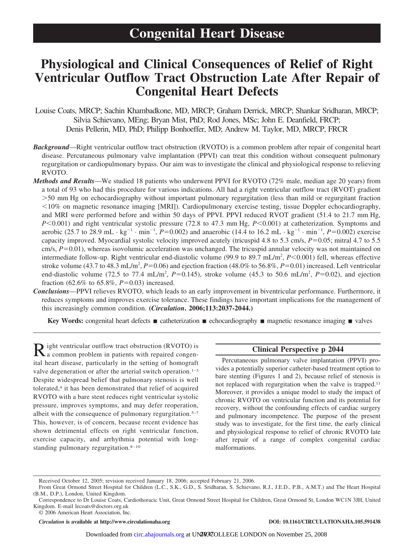# **Physiological and Clinical Consequences of Relief of Right Ventricular Outflow Tract Obstruction Late After Repair of Congenital Heart Defects**

Louise Coats, MRCP; Sachin Khambadkone, MD, MRCP; Graham Derrick, MRCP; Shankar Sridharan, MRCP; Silvia Schievano, MEng; Bryan Mist, PhD; Rod Jones, MSc; John E. Deanfield, FRCP; Denis Pellerin, MD, PhD; Philipp Bonhoeffer, MD; Andrew M. Taylor, MD, MRCP, FRCR

- *Background*—Right ventricular outflow tract obstruction (RVOTO) is a common problem after repair of congenital heart disease. Percutaneous pulmonary valve implantation (PPVI) can treat this condition without consequent pulmonary regurgitation or cardiopulmonary bypass. Our aim was to investigate the clinical and physiological response to relieving RVOTO.
- *Methods and Results*—We studied 18 patients who underwent PPVI for RVOTO (72% male, median age 20 years) from a total of 93 who had this procedure for various indications. All had a right ventricular outflow tract (RVOT) gradient 50 mm Hg on echocardiography without important pulmonary regurgitation (less than mild or regurgitant fraction -10% on magnetic resonance imaging [MRI]). Cardiopulmonary exercise testing, tissue Doppler echocardiography, and MRI were performed before and within 50 days of PPVI. PPVI reduced RVOT gradient (51.4 to 21.7 mm Hg, *P*<0.001) and right ventricular systolic pressure (72.8 to 47.3 mm Hg, *P*<0.001) at catheterization. Symptoms and aerobic (25.7 to 28.9 mL ·  $kg^{-1}$  · min<sup>-1</sup>,  $P=0.002$ ) and anaerobic (14.4 to 16.2 mL ·  $kg^{-1}$  · min<sup>-1</sup>,  $P=0.002$ ) exercise capacity improved. Myocardial systolic velocity improved acutely (tricuspid 4.8 to 5.3 cm/s,  $P=0.05$ ; mitral 4.7 to 5.5 cm/s,  $P=0.01$ ), whereas isovolumic acceleration was unchanged. The tricuspid annular velocity was not maintained on intermediate follow-up. Right ventricular end-diastolic volume (99.9 to 89.7 mL/m<sup>2</sup>, P<0.001) fell, whereas effective stroke volume  $(43.7 \text{ to } 48.3 \text{ mL/m}^2, P=0.06)$  and ejection fraction  $(48.0\% \text{ to } 56.8\%, P=0.01)$  increased. Left ventricular end-diastolic volume (72.5 to 77.4 mL/m<sup>2</sup>,  $P=0.145$ ), stroke volume (45.3 to 50.6 mL/m<sup>2</sup>,  $P=0.02$ ), and ejection fraction (62.6% to 65.8%,  $P=0.03$ ) increased.
- *Conclusions*—PPVI relieves RVOTO, which leads to an early improvement in biventricular performance. Furthermore, it reduces symptoms and improves exercise tolerance. These findings have important implications for the management of this increasingly common condition. **(***Circulation***. 2006;113:2037-2044.)**

**Key Words:** congenital heart defects **catheterization e** echocardiography **magnetic resonance imaging v** valves

Right ventricular outflow tract obstruction (RVOTO) is a common problem in patients with repaired congenital heart disease, particularly in the setting of homograft valve degeneration or after the arterial switch operation.<sup>1-3</sup> Despite widespread belief that pulmonary stenosis is well tolerated,4 it has been demonstrated that relief of acquired RVOTO with a bare stent reduces right ventricular systolic pressure, improves symptoms, and may defer reoperation, albeit with the consequence of pulmonary regurgitation.<sup>5–7</sup> This, however, is of concern, because recent evidence has shown detrimental effects on right ventricular function, exercise capacity, and arrhythmia potential with longstanding pulmonary regurgitation.8–10

# **Clinical Perspective p 2044**

Percutaneous pulmonary valve implantation (PPVI) provides a potentially superior catheter-based treatment option to bare stenting (Figures 1 and 2), because relief of stenosis is not replaced with regurgitation when the valve is trapped.11 Moreover, it provides a unique model to study the impact of chronic RVOTO on ventricular function and its potential for recovery, without the confounding effects of cardiac surgery and pulmonary incompetence. The purpose of the present study was to investigate, for the first time, the early clinical and physiological response to relief of chronic RVOTO late after repair of a range of complex congenital cardiac malformations.

*Circulation* **is available at http://www.circulationaha.org DOI: 10.1161/CIRCULATIONAHA.105.591438**

Received October 12, 2005; revision received January 18, 2006; accepted February 21, 2006.

From Great Ormond Street Hospital for Children (L.C., S.K., G.D., S. Sridharan, S. Schievano, R.J., J.E.D., P.B., A.M.T.) and The Heart Hospital (B.M., D.P.), London, United Kingdom.

Correspondence to Dr Louise Coats, Cardiothoracic Unit, Great Ormond Street Hospital for Children, Great Ormond St, London WC1N 3JH, United Kingdom. E-mail lecoats@doctors.org.uk

<sup>© 2006</sup> American Heart Association, Inc.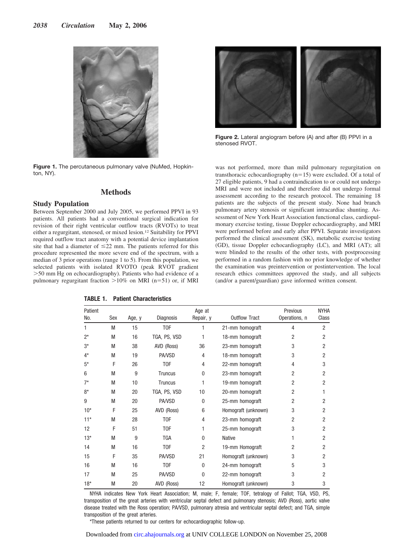

**Figure 1.** The percutaneous pulmonary valve (NuMed, Hopkinton, NY).

# **Methods**

#### **Study Population**

Between September 2000 and July 2005, we performed PPVI in 93 patients. All patients had a conventional surgical indication for revision of their right ventricular outflow tracts (RVOTs) to treat either a regurgitant, stenosed, or mixed lesion.12 Suitability for PPVI required outflow tract anatomy with a potential device implantation site that had a diameter of  $\leq$ 22 mm. The patients referred for this procedure represented the more severe end of the spectrum, with a median of 3 prior operations (range 1 to 5). From this population, we selected patients with isolated RVOTO (peak RVOT gradient 50 mm Hg on echocardiography). Patients who had evidence of a pulmonary regurgitant fraction  $>10\%$  on MRI (n=51) or, if MRI

| TABLE 1. |  | <b>Patient Characteristics</b> |
|----------|--|--------------------------------|
|----------|--|--------------------------------|



**Figure 2.** Lateral angiogram before (A) and after (B) PPVI in a stenosed RVOT.

was not performed, more than mild pulmonary regurgitation on transthoracic echocardiography  $(n=15)$  were excluded. Of a total of 27 eligible patients, 9 had a contraindication to or could not undergo MRI and were not included and therefore did not undergo formal assessment according to the research protocol. The remaining 18 patients are the subjects of the present study. None had branch pulmonary artery stenosis or significant intracardiac shunting. Assessment of New York Heart Association functional class, cardiopulmonary exercise testing, tissue Doppler echocardiography, and MRI were performed before and early after PPVI. Separate investigators performed the clinical assessment (SK), metabolic exercise testing (GD), tissue Doppler echocardiography (LC), and MRI (AT); all were blinded to the results of the other tests, with postprocessing performed in a random fashion with no prior knowledge of whether the examination was preintervention or postintervention. The local research ethics committees approved the study, and all subjects (and/or a parent/guardian) gave informed written consent.

| Patient |     |        |                 | Age at         |                      | Previous       | <b>NYHA</b>    |
|---------|-----|--------|-----------------|----------------|----------------------|----------------|----------------|
| No.     | Sex | Age, y | Diagnosis       | Repair, y      | <b>Outflow Tract</b> | Operations, n  | Class          |
| 1       | M   | 15     | T <sub>OF</sub> | 1              | 21-mm homograft      | 4              | $\overline{2}$ |
| $2^*$   | M   | 16     | TGA, PS, VSD    | 1              | 18-mm homograft      | $\overline{2}$ | $\overline{2}$ |
| $3^*$   | M   | 38     | AVD (Ross)      | 36             | 23-mm homograft      | 3              | $\overline{2}$ |
| $4^*$   | M   | 19     | PA/VSD          | 4              | 18-mm homograft      | 3              | 2              |
| $5^*$   | F   | 26     | <b>TOF</b>      | 4              | 22-mm homograft      | 4              | 3              |
| 6       | M   | 9      | <b>Truncus</b>  | 0              | 23-mm homograft      | $\overline{2}$ | 2              |
| $7^*$   | M   | 10     | <b>Truncus</b>  | 1              | 19-mm homograft      | $\overline{2}$ | 2              |
| $8*$    | M   | 20     | TGA, PS, VSD    | 10             | 20-mm homograft      | $\overline{2}$ |                |
| 9       | M   | 20     | PA/VSD          | 0              | 25-mm homograft      | $\overline{2}$ | 2              |
| $10*$   | F   | 25     | AVD (Ross)      | 6              | Homograft (unknown)  | 3              | 2              |
| $11*$   | M   | 28     | <b>TOF</b>      | 4              | 23-mm homograft      | $\overline{2}$ | $\overline{2}$ |
| 12      | F   | 51     | T <sub>OF</sub> | 1              | 25-mm homograft      | 3              | 2              |
| $13*$   | M   | 9      | <b>TGA</b>      | 0              | <b>Native</b>        |                | 2              |
| 14      | M   | 16     | T <sub>OF</sub> | $\overline{2}$ | 19-mm Homograft      | $\overline{2}$ | 2              |
| 15      | F   | 35     | PA/VSD          | 21             | Homograft (unknown)  | 3              | 2              |
| 16      | M   | 16     | T <sub>OF</sub> | $\mathbf 0$    | 24-mm homograft      | 5              | 3              |
| 17      | M   | 25     | PA/VSD          | $\mathbf{0}$   | 22-mm homograft      | 3              | 2              |
| $18*$   | M   | 20     | AVD (Ross)      | 12             | Homograft (unknown)  | 3              | 3              |

NYHA indicates New York Heart Association; M, male; F, female; TOF, tetralogy of Fallot; TGA, VSD, PS, transposition of the great arteries with ventricular septal defect and pulmonary stenosis; AVD (Ross), aortic valve disease treated with the Ross operation; PA/VSD, pulmonary atresia and ventricular septal defect; and TGA, simple transposition of the great arteries.

\*These patients returned to our centers for echocardiographic follow-up.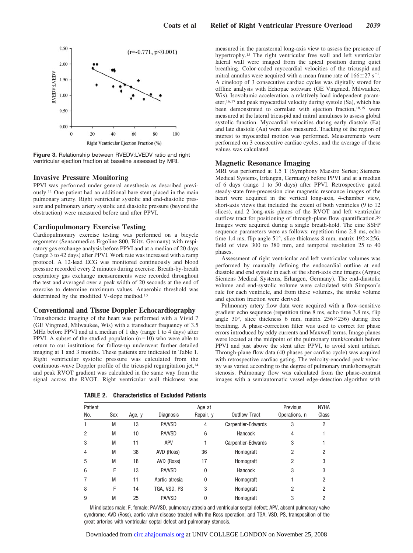

**Figure 3.** Relationship between RVEDV:LVEDV ratio and right ventricular ejection fraction at baseline assessed by MRI.

#### **Invasive Pressure Monitoring**

PPVI was performed under general anesthesia as described previously.11 One patient had an additional bare stent placed in the main pulmonary artery. Right ventricular systolic and end-diastolic pressure and pulmonary artery systolic and diastolic pressure (beyond the obstruction) were measured before and after PPVI.

## **Cardiopulmonary Exercise Testing**

Cardiopulmonary exercise testing was performed on a bicycle ergometer (Sensormedics Ergoline 800, Blitz, Germany) with respiratory gas exchange analysis before PPVI and at a median of 20 days (range 3 to 42 days) after PPVI. Work rate was increased with a ramp protocol. A 12-lead ECG was monitored continuously and blood pressure recorded every 2 minutes during exercise. Breath-by-breath respiratory gas exchange measurements were recorded throughout the test and averaged over a peak width of 20 seconds at the end of exercise to determine maximum values. Anaerobic threshold was determined by the modified V-slope method.13

#### **Conventional and Tissue Doppler Echocardiography**

Transthoracic imaging of the heart was performed with a Vivid 7 (GE Vingmed, Milwaukee, Wis) with a transducer frequency of 3.5 MHz before PPVI and at a median of 1 day (range 1 to 4 days) after PPVI. A subset of the studied population  $(n=10)$  who were able to return to our institutions for follow-up underwent further detailed imaging at 1 and 3 months. These patients are indicated in Table 1. Right ventricular systolic pressure was calculated from the continuous-wave Doppler profile of the tricuspid regurgitation jet,<sup>14</sup> and peak RVOT gradient was calculated in the same way from the signal across the RVOT. Right ventricular wall thickness was

measured in the parasternal long-axis view to assess the presence of hypertrophy.<sup>15</sup> The right ventricular free wall and left ventricular lateral wall were imaged from the apical position during quiet breathing. Color-coded myocardial velocities of the tricuspid and mitral annulus were acquired with a mean frame rate of  $166 \pm 27$  s<sup>-1</sup>. A cineloop of 3 consecutive cardiac cycles was digitally stored for offline analysis with Echopac software (GE Vingmed, Milwaukee, Wis). Isovolumic acceleration, a relatively load independent parameter,16,17 and peak myocardial velocity during systole (Sa), which has been demonstrated to correlate with ejection fraction,18,19 were measured at the lateral tricuspid and mitral annuluses to assess global systolic function. Myocardial velocities during early diastole (Ea) and late diastole (Aa) were also measured. Tracking of the region of interest to myocardial motion was performed. Measurements were performed on 3 consecutive cardiac cycles, and the average of these values was calculated.

#### **Magnetic Resonance Imaging**

MRI was performed at 1.5 T (Symphony Maestro Series; Siemens Medical Systems, Erlangen, Germany) before PPVI and at a median of 6 days (range 1 to 50 days) after PPVI. Retrospective gated steady-state free-precession cine magnetic resonance images of the heart were acquired in the vertical long-axis, 4-chamber view, short-axis views that included the extent of both ventricles (9 to 12 slices), and 2 long-axis planes of the RVOT and left ventricular outflow tract for positioning of through-plane flow quantification.20 Images were acquired during a single breath-hold. The cine SSFP sequence parameters were as follows: repetition time 2.8 ms, echo time 1.4 ms, flip angle  $51^{\circ}$ , slice thickness 8 mm, matrix 192×256, field of view 300 to 380 mm, and temporal resolution 25 to 40 phases.

Assessment of right ventricular and left ventricular volumes was performed by manually defining the endocardial outline at end diastole and end systole in each of the short-axis cine images (Argus; Siemens Medical Systems, Erlangen, Germany). The end-diastolic volume and end-systolic volume were calculated with Simpson's rule for each ventricle, and from these volumes, the stroke volume and ejection fraction were derived.

Pulmonary artery flow data were acquired with a flow-sensitive gradient echo sequence (repetition time 8 ms, echo time 3.8 ms, flip angle 30 $^{\circ}$ , slice thickness 6 mm, matrix 256 $\times$ 256) during free breathing. A phase-correction filter was used to correct for phase errors introduced by eddy currents and Maxwell terms. Image planes were located at the midpoint of the pulmonary trunk/conduit before PPVI and just above the stent after PPVI, to avoid stent artifact. Through-plane flow data (40 phases per cardiac cycle) was acquired with retrospective cardiac gating. The velocity-encoded peak velocity was varied according to the degree of pulmonary trunk/homograft stenosis. Pulmonary flow was calculated from the phase-contrast images with a semiautomatic vessel edge-detection algorithm with

| <b>Characteristics of Excluded Patients</b><br>TABLE 2. |  |  |
|---------------------------------------------------------|--|--|
|---------------------------------------------------------|--|--|

| Patient |     |        |                  | Age at       |                    | Previous      | <b>NYHA</b> |
|---------|-----|--------|------------------|--------------|--------------------|---------------|-------------|
| No.     | Sex | Age, y | <b>Diagnosis</b> | Repair, y    | Outflow Tract      | Operations, n | Class       |
| 1       | М   | 13     | <b>PA/VSD</b>    | 4            | Carpentier-Edwards | 3             | 2           |
| 2       | М   | 10     | PA/VSD           | 6            | Hancock            | 4             |             |
| 3       | М   | 11     | APV              |              | Carpentier-Edwards | 3             |             |
| 4       | М   | 38     | AVD (Ross)       | 36           | Homograft          | 2             | 2           |
| 5       | М   | 18     | AVD (Ross)       | 17           | Homograft          | 2             | 3           |
| 6       | F   | 13     | PA/VSD           | 0            | Hancock            | 3             | 3           |
| 7       | М   | 11     | Aortic atresia   | $\mathbf{0}$ | Homograft          |               | 2           |
| 8       | F   | 14     | TGA, VSD, PS     | 3            | Homograft          | 2             | 2           |
| 9       | М   | 25     | PA/VSD           | 0            | Homograft          | 3             | 2           |

M indicates male; F, female; PA/VSD, pulmonary atresia and ventricular septal defect; APV, absent pulmonary valve syndrome; AVD (Ross), aortic valve disease treated with the Ross operation; and TGA, VSD, PS, transposition of the great arteries with ventricular septal defect and pulmonary stenosis.

Downloaded from [circ.ahajournals.org](http://circ.ahajournals.org) at UNIV COLLEGE LONDON on November 25, 2008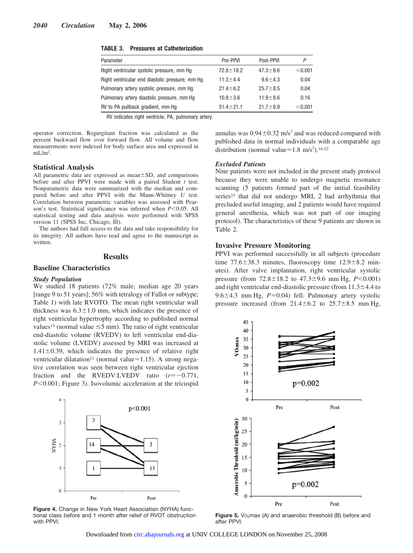| Parameter                                       | Pre-PPVI        | Post-PPVI      | Р       |
|-------------------------------------------------|-----------------|----------------|---------|
| Right ventricular systolic pressure, mm Hg      | $72.8 \pm 18.2$ | $47.3 \pm 9.6$ | < 0.001 |
| Right ventricular end diastolic pressure, mm Hg | $11.3 + 4.4$    | $9.6 + 4.3$    | 0.04    |
| Pulmonary artery systolic pressure, mm Hq       | $21.4 + 6.2$    | $25.7 + 8.5$   | 0.04    |
| Pulmonary artery diastolic pressure, mm Hq      | $10.8 + 3.6$    | $11.9 \pm 8.6$ | 0.16    |
| RV to PA pullback gradient, mm Hg               | $51.4 \pm 21.1$ | $21.7 \pm 8.9$ | < 0.001 |

**TABLE 3. Pressures at Catheterization**

RV indicates right ventricle; PA, pulmonary artery.

operator correction. Regurgitant fraction was calculated as the percent backward flow over forward flow. All volume and flow measurements were indexed for body surface area and expressed in  $mL/m<sup>2</sup>$ .

#### **Statistical Analysis**

All parametric data are expressed as mean $\pm$ SD, and comparisons before and after PPVI were made with a paired Student *t* test. Nonparametric data were summarized with the median and compared before and after PPVI with the Mann-Whitney *U* test. Correlation between parametric variables was assessed with Pearson's test. Statistical significance was inferred when *P*<0.05. All statistical testing and data analysis were performed with SPSS version 11 (SPSS Inc, Chicago, Ill).

The authors had full access to the data and take responsibility for its integrity. All authors have read and agree to the manuscript as written.

# **Results**

#### **Baseline Characteristics**

#### *Study Population*

We studied 18 patients (72% male; median age 20 years [range 9 to 51 years]; 56% with tetralogy of Fallot or subtype; Table 1) with late RVOTO. The mean right ventricular wall thickness was  $6.3 \pm 1.0$  mm, which indicates the presence of right ventricular hypertrophy according to published normal values<sup>15</sup> (normal value  $\leq$ 5 mm). The ratio of right ventricular end-diastolic volume (RVEDV) to left ventricular end-diastolic volume (LVEDV) assessed by MRI was increased at  $1.41 \pm 0.39$ , which indicates the presence of relative right ventricular dilatation<sup>21</sup> (normal value=1.15). A strong negative correlation was seen between right ventricular ejection fraction and the RVEDV:LVEDV ratio  $(r=-0.771,$ *P*-0.001; Figure 3). Isovolumic acceleration at the tricuspid



**Figure 4.** Change in New York Heart Association (NYHA) functional class before and 1 month after relief of RVOT obstruction with PPVI.

annulus was  $0.94\pm0.32$  m/s<sup>2</sup> and was reduced compared with published data in normal individuals with a comparable age distribution (normal value= $1.8 \text{ m/s}^2$ ).<sup>16,22</sup>

#### *Excluded Patients*

Nine patients were not included in the present study protocol because they were unable to undergo magnetic resonance scanning (5 patients formed part of the initial feasibility series<sup>23</sup> that did not undergo MRI, 2 had arrhythmia that precluded useful imaging, and 2 patients would have required general anesthesia, which was not part of our imaging protocol). The characteristics of these 9 patients are shown in Table 2.

## **Invasive Pressure Monitoring**

PPVI was performed successfully in all subjects (procedure time  $77.6 \pm 38.3$  minutes, fluoroscopy time  $12.9 \pm 8.2$  minutes). After valve implantation, right ventricular systolic pressure (from  $72.8 \pm 18.2$  to  $47.3 \pm 9.6$  mm Hg,  $P < 0.001$ ) and right ventricular end-diastolic pressure (from  $11.3 \pm 4.4$  to 9.6 $\pm$ 4.3 mm Hg, *P*=0.04) fell. Pulmonary artery systolic pressure increased (from  $21.4 \pm 6.2$  to  $25.7 \pm 8.5$  mm Hg,



**Figure 5.** Vo<sub>2</sub>max (A) and anaerobic threshold (B) before and after PPVI.

Downloaded from [circ.ahajournals.org](http://circ.ahajournals.org) at UNIV COLLEGE LONDON on November 25, 2008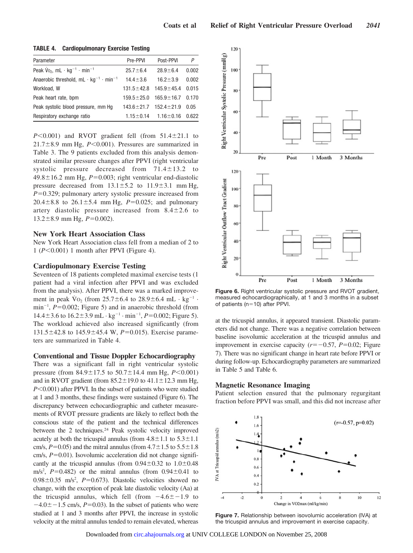| TABLE 4. | <b>Cardiopulmonary Exercise Testing</b> |  |  |
|----------|-----------------------------------------|--|--|
|----------|-----------------------------------------|--|--|

| Parameter                                                                       | Pre-PPVI         | Post-PPVI        | P     |
|---------------------------------------------------------------------------------|------------------|------------------|-------|
| Peak $\mathsf{V}_{0_2}$ , mL $\cdot$ kg <sup>-1</sup> $\cdot$ min <sup>-1</sup> | $25.7 \pm 6.4$   | $28.9 + 6.4$     | 0.002 |
| Anaerobic threshold, $mL \cdot kq^{-1} \cdot min^{-1}$                          | $14.4 \pm 3.6$   | $16.2 \pm 3.9$   | 0.002 |
| Workload, W                                                                     | $131.5 + 42.8$   | $145.9 \pm 45.4$ | 0.015 |
| Peak heart rate, bpm                                                            | $159.5 \pm 25.0$ | $165.9 \pm 16.7$ | 0.170 |
| Peak systolic blood pressure, mm Hq                                             | $143.6 + 21.7$   | $152.4 \pm 21.9$ | 0.05  |
| Respiratory exchange ratio                                                      | $1.15 \pm 0.14$  | $1.16 \pm 0.16$  | 0.622 |
|                                                                                 |                  |                  |       |

 $P \leq 0.001$ ) and RVOT gradient fell (from  $51.4 \pm 21.1$  to  $21.7\pm8.9$  mm Hg,  $P<0.001$ ). Pressures are summarized in Table 3. The 9 patients excluded from this analysis demonstrated similar pressure changes after PPVI (right ventricular systolic pressure decreased from  $71.4 \pm 13.2$  to  $49.8 \pm 16.2$  mm Hg,  $P=0.003$ ; right ventricular end-diastolic pressure decreased from  $13.1 \pm 5.2$  to  $11.9 \pm 3.1$  mm Hg, *P*=0.329; pulmonary artery systolic pressure increased from 20.4 $\pm$ 8.8 to 26.1 $\pm$ 5.4 mm Hg, *P*=0.025; and pulmonary artery diastolic pressure increased from  $8.4 \pm 2.6$  to  $13.2 \pm 8.9$  mm Hg,  $P=0.002$ ).

## **New York Heart Association Class**

New York Heart Association class fell from a median of 2 to 1 (*P*-0.001) 1 month after PPVI (Figure 4).

#### **Cardiopulmonary Exercise Testing**

Seventeen of 18 patients completed maximal exercise tests (1 patient had a viral infection after PPVI and was excluded from the analysis). After PPVI, there was a marked improvement in peak  $\overline{V}o_2$  (from 25.7 $\pm$ 6.4 to 28.9 $\pm$ 6.4 mL · kg<sup>-1</sup> ·  $\min^{-1}$ ,  $P=0.002$ ; Figure 5) and in anaerobic threshold (from 14.4 ± 3.6 to  $16.2 \pm 3.9$  mL · kg<sup>-1</sup> · min<sup>-1</sup>,  $P=0.002$ ; Figure 5). The workload achieved also increased significantly (from  $131.5 \pm 42.8$  to  $145.9 \pm 45.4$  W,  $P=0.015$ ). Exercise parameters are summarized in Table 4.

## **Conventional and Tissue Doppler Echocardiography**

There was a significant fall in right ventricular systolic pressure (from  $84.9 \pm 17.5$  to  $50.7 \pm 14.4$  mm Hg,  $P \le 0.001$ ) and in RVOT gradient (from  $85.2 \pm 19.0$  to  $41.1 \pm 12.3$  mm Hg, *P*-0.001) after PPVI. In the subset of patients who were studied at 1 and 3 months, these findings were sustained (Figure 6). The discrepancy between echocardiographic and catheter measurements of RVOT pressure gradients are likely to reflect both the conscious state of the patient and the technical differences between the 2 techniques.24 Peak systolic velocity improved acutely at both the tricuspid annulus (from  $4.8 \pm 1.1$  to  $5.3 \pm 1.1$ cm/s,  $P=0.05$ ) and the mitral annulus (from  $4.7\pm1.5$  to  $5.5\pm1.8$ cm/s,  $P=0.01$ ). Isovolumic acceleration did not change significantly at the tricuspid annulus (from  $0.94 \pm 0.32$  to  $1.0 \pm 0.48$ m/s<sup>2</sup>,  $P=0.482$ ) or the mitral annulus (from  $0.94\pm0.41$  to  $0.98 \pm 0.35$  m/s<sup>2</sup>,  $P=0.673$ ). Diastolic velocities showed no change, with the exception of peak late diastolic velocity (Aa) at the tricuspid annulus, which fell (from  $-4.6\pm-1.9$  to  $-4.0\pm$  -1.5 cm/s, *P*=0.03). In the subset of patients who were studied at 1 and 3 months after PPVI, the increase in systolic velocity at the mitral annulus tended to remain elevated, whereas



**Figure 6.** Right ventricular systolic pressure and RVOT gradient, measured echocardiographically, at 1 and 3 months in a subset of patients ( $n=10$ ) after PPVI.

at the tricuspid annulus, it appeared transient. Diastolic parameters did not change. There was a negative correlation between baseline isovolumic acceleration at the tricuspid annulus and improvement in exercise capacity  $(r=-0.57, P=0.02;$  Figure 7). There was no significant change in heart rate before PPVI or during follow-up. Echocardiography parameters are summarized in Table 5 and Table 6.

#### **Magnetic Resonance Imaging**

Patient selection ensured that the pulmonary regurgitant fraction before PPVI was small, and this did not increase after



**Figure 7.** Relationship between isovolumic acceleration (IVA) at the tricuspid annulus and improvement in exercise capacity.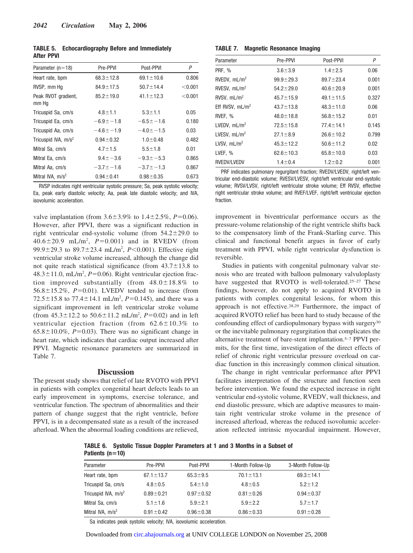|                   | <b>TABLE 5. Echocardiography Before and Immediately</b> |  |  |
|-------------------|---------------------------------------------------------|--|--|
| <b>After PPVI</b> |                                                         |  |  |

| Parameter $(n=18)$           | Pre-PPVI        | Post-PPVI       | P       |
|------------------------------|-----------------|-----------------|---------|
| Heart rate, bpm              | $68.3 \pm 12.8$ | $69.1 \pm 10.6$ | 0.806   |
| RVSP, mm Hq                  | $84.9 \pm 17.5$ | $50.7 \pm 14.4$ | < 0.001 |
| Peak RVOT gradient,<br>mm Hq | $85.2 \pm 19.0$ | $41.1 \pm 12.3$ | < 0.001 |
| Tricuspid Sa, cm/s           | $4.8 \pm 1.1$   | $5.3 \pm 1.1$   | 0.05    |
| Tricuspid Ea, cm/s           | $-6.9 \pm -1.8$ | $-6.5 \pm -1.6$ | 0.180   |
| Tricuspid Aa, cm/s           | $-4.6 \pm -1.9$ | $-4.0 \pm -1.5$ | 0.03    |
| Tricuspid IVA. $m/s2$        | $0.94 \pm 0.32$ | $1.0 \pm 0.48$  | 0.482   |
| Mitral Sa, cm/s              | $4.7 \pm 1.5$   | $5.5 \pm 1.8$   | 0.01    |
| Mitral Ea, cm/s              | $9.4 \pm -3.6$  | $-9.3 \pm -5.3$ | 0.865   |
| Mitral Aa, cm/s              | $-3.7 \pm -1.6$ | $-3.7 \pm -1.3$ | 0.867   |
| Mitral IVA. $m/s^2$          | $0.94 \pm 0.41$ | $0.98 + 0.35$   | 0.673   |

RVSP indicates right ventricular systolic pressure; Sa, peak systolic velocity; Ea, peak early diastolic velocity; Aa, peak late diastolic velocity; and IVA, isovolumic acceleration.

valve implantation (from  $3.6 \pm 3.9\%$  to  $1.4 \pm 2.5\%$ , *P*=0.06). However, after PPVI, there was a significant reduction in right ventricular end-systolic volume (from  $54.2 \pm 29.0$  to  $40.6 \pm 20.9$  mL/m<sup>2</sup>,  $P=0.001$ ) and in RVEDV (from 99.9 $\pm$ 29.3 to 89.7 $\pm$ 23.4 mL/m<sup>2</sup>, *P*<0.001). Effective right ventricular stroke volume increased, although the change did not quite reach statistical significance (from  $43.7 \pm 13.8$  to  $48.3 \pm 11.0$ , mL/m<sup>2</sup>,  $P=0.06$ ). Right ventricular ejection fraction improved substantially (from  $48.0 \pm 18.8\%$  to 56.8 $\pm$ 15.2%, *P*=0.01). LVEDV tended to increase (from 72.5 $\pm$ 15.8 to 77.4 $\pm$ 14.1 mL/m<sup>2</sup>, *P*=0.145), and there was a significant improvement in left ventricular stroke volume (from  $45.3 \pm 12.2$  to  $50.6 \pm 11.2$  mL/m<sup>2</sup>,  $P=0.02$ ) and in left ventricular ejection fraction (from  $62.6 \pm 10.3\%$  to  $65.8 \pm 10.0\%$ , *P*=0.03). There was no significant change in heart rate, which indicates that cardiac output increased after PPVI. Magnetic resonance parameters are summarized in Table 7.

## **Discussion**

The present study shows that relief of late RVOTO with PPVI in patients with complex congenital heart defects leads to an early improvement in symptoms, exercise tolerance, and ventricular function. The spectrum of abnormalities and their pattern of change suggest that the right ventricle, before PPVI, is in a decompensated state as a result of the increased afterload. When the abnormal loading conditions are relieved,

**TABLE 7. Magnetic Resonance Imaging**

| Parameter          | Pre-PPVI        | Post-PPVI       | P     |
|--------------------|-----------------|-----------------|-------|
| PRF, %             | $3.6 \pm 3.9$   | $1.4 \pm 2.5$   | 0.06  |
| RVEDV, $mL/m2$     | $99.9 \pm 29.3$ | $89.7 \pm 23.4$ | 0.001 |
| RVESV, $mL/m2$     | $54.2 \pm 29.0$ | $40.6 \pm 20.9$ | 0.001 |
| RVSV, $mL/m2$      | $45.7 \pm 15.9$ | $49.1 \pm 11.5$ | 0.327 |
| Eff RVSV, $mL/m^2$ | $43.7 \pm 13.8$ | $48.3 \pm 11.0$ | 0.06  |
| RVEF, %            | $48.0 \pm 18.8$ | $56.8 \pm 15.2$ | 0.01  |
| LVEDV, $mL/m2$     | $72.5 \pm 15.8$ | $77.4 \pm 14.1$ | 0.145 |
| LVESV, $mL/m2$     | $27.1 \pm 8.9$  | $26.6 \pm 10.2$ | 0.799 |
| LVSV, $mL/m2$      | $45.3 \pm 12.2$ | $50.6 \pm 11.2$ | 0.02  |
| LVEF, %            | $62.6 \pm 10.3$ | $65.8 \pm 10.0$ | 0.03  |
| <b>RVEDV/LVEDV</b> | $1.4 \pm 0.4$   | $1.2 \pm 0.2$   | 0.001 |

PRF indicates pulmonary requrgitant fraction: RVEDV/LVEDV, right/left ventricular end-diastolic volume; RVESV/LVESV, right/left ventricular end-systolic volume; RVSV/LVSV, right/left ventricular stroke volume; Eff RVSV, effective right ventricular stroke volume; and RVEF/LVEF, right/left ventricular ejection fraction.

improvement in biventricular performance occurs as the pressure-volume relationship of the right ventricle shifts back to the compensatory limb of the Frank-Starling curve. This clinical and functional benefit argues in favor of early treatment with PPVI, while right ventricular dysfunction is reversible.

Studies in patients with congenital pulmonary valvar stenosis who are treated with balloon pulmonary valvuloplasty have suggested that RVOTO is well-tolerated.<sup>25-27</sup> These findings, however, do not apply to acquired RVOTO in patients with complex congenital lesions, for whom this approach is not effective.28,29 Furthermore, the impact of acquired RVOTO relief has been hard to study because of the confounding effect of cardiopulmonary bypass with surgery<sup>30</sup> or the inevitable pulmonary regurgitation that complicates the alternative treatment of bare-stent implantation.5–7 PPVI permits, for the first time, investigation of the direct effects of relief of chronic right ventricular pressure overload on cardiac function in this increasingly common clinical situation.

The change in right ventricular performance after PPVI facilitates interpretation of the structure and function seen before intervention. We found the expected increase in right ventricular end-systolic volume, RVEDV, wall thickness, and end diastolic pressure, which are adaptive measures to maintain right ventricular stroke volume in the presence of increased afterload, whereas the reduced isovolumic acceleration reflected intrinsic myocardial impairment. However,

**TABLE 6. Systolic Tissue Doppler Parameters at 1 and 3 Months in a Subset of** Patients (n=10)

| Parameter              | Pre-PPVI        | Post-PPVI       | 1-Month Follow-Up | 3-Month Follow-Up |
|------------------------|-----------------|-----------------|-------------------|-------------------|
| Heart rate, bpm        | $67.1 \pm 13.7$ | $65.3 \pm 9.5$  | $70.1 \pm 13.1$   | $69.3 \pm 14.1$   |
| Tricuspid Sa, cm/s     | $4.8 \pm 0.5$   | $5.4 \pm 1.0$   | $4.8 \pm 0.5$     | $5.2 \pm 1.2$     |
| Tricuspid IVA, $m/s^2$ | $0.89 - 0.21$   | $0.97 \pm 0.52$ | $0.81 \pm 0.26$   | $0.94 \pm 0.37$   |
| Mitral Sa, cm/s        | $5.1 \pm 1.6$   | $5.9 + 2.1$     | $5.9 + 2.2$       | $5.7 \pm 1.7$     |
| Mitral IVA, $m/s^2$    | $0.91 + 0.42$   | $0.96 \pm 0.38$ | $0.86 \pm 0.33$   | $0.91 \pm 0.28$   |

Sa indicates peak systolic velocity; IVA, isovolumic acceleration.

Downloaded from [circ.ahajournals.org](http://circ.ahajournals.org) at UNIV COLLEGE LONDON on November 25, 2008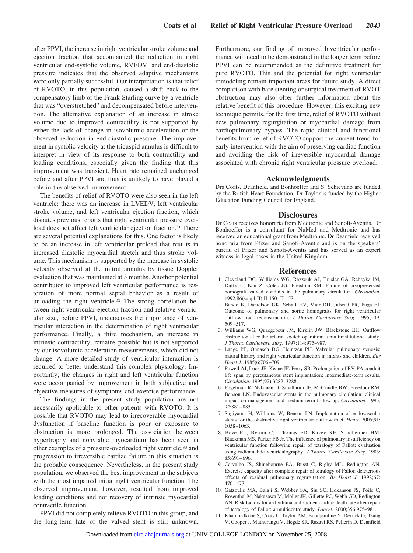after PPVI, the increase in right ventricular stroke volume and ejection fraction that accompanied the reduction in right ventricular end-systolic volume, RVEDV, and end-diastolic pressure indicates that the observed adaptive mechanisms were only partially successful. Our interpretation is that relief of RVOTO, in this population, caused a shift back to the compensatory limb of the Frank-Starling curve by a ventricle that was "overstretched" and decompensated before intervention. The alternative explanation of an increase in stroke volume due to improved contractility is not supported by either the lack of change in isovolumic acceleration or the observed reduction in end-diastolic pressure. The improvement in systolic velocity at the tricuspid annulus is difficult to interpret in view of its response to both contractility and loading conditions, especially given the finding that this improvement was transient. Heart rate remained unchanged before and after PPVI and thus is unlikely to have played a role in the observed improvement.

The benefits of relief of RVOTO were also seen in the left ventricle: there was an increase in LVEDV, left ventricular stroke volume, and left ventricular ejection fraction, which disputes previous reports that right ventricular pressure overload does not affect left ventricular ejection fraction.<sup>31</sup> There are several potential explanations for this. One factor is likely to be an increase in left ventricular preload that results in increased diastolic myocardial stretch and thus stroke volume. This mechanism is supported by the increase in systolic velocity observed at the mitral annulus by tissue Doppler evaluation that was maintained at 3 months. Another potential contributor to improved left ventricular performance is restoration of more normal septal behavior as a result of unloading the right ventricle.<sup>32</sup> The strong correlation between right ventricular ejection fraction and relative ventricular size, before PPVI, underscores the importance of ventricular interaction in the determination of right ventricular performance. Finally, a third mechanism, an increase in intrinsic contractility, remains possible but is not supported by our isovolumic acceleration measurements, which did not change. A more detailed study of ventricular interaction is required to better understand this complex physiology. Importantly, the changes in right and left ventricular function were accompanied by improvement in both subjective and objective measures of symptoms and exercise performance.

The findings in the present study population are not necessarily applicable to other patients with RVOTO. It is possible that RVOTO may lead to irrecoverable myocardial dysfunction if baseline function is poor or exposure to obstruction is more prolonged. The association between hypertrophy and nonviable myocardium has been seen in other examples of a pressure-overloaded right ventricle,33 and progression to irreversible cardiac failure in this situation is the probable consequence. Nevertheless, in the present study population, we observed the best improvement in the subjects with the most impaired initial right ventricular function. The observed improvement, however, resulted from improved loading conditions and not recovery of intrinsic myocardial contractile function.

PPVI did not completely relieve RVOTO in this group, and the long-term fate of the valved stent is still unknown.

Furthermore, our finding of improved biventricular performance will need to be demonstrated in the longer term before PPVI can be recommended as the definitive treatment for pure RVOTO. This and the potential for right ventricular remodeling remain important areas for future study. A direct comparison with bare stenting or surgical treatment of RVOT obstruction may also offer further information about the relative benefit of this procedure. However, this exciting new technique permits, for the first time, relief of RVOTO without new pulmonary regurgitation or myocardial damage from cardiopulmonary bypass. The rapid clinical and functional benefits from relief of RVOTO support the current trend for early intervention with the aim of preserving cardiac function and avoiding the risk of irreversible myocardial damage associated with chronic right ventricular pressure overload.

## **Acknowledgments**

Drs Coats, Deanfield, and Bonhoeffer and S. Schievano are funded by the British Heart Foundation. Dr Taylor is funded by the Higher Education Funding Council for England.

#### **Disclosures**

Dr Coats receives honoraria from Medtronic and Sanofi-Aventis. Dr Bonhoeffer is a consultant for NuMed and Medtronic and has received an educational grant from Medtronic. Dr Deanfield received honoraria from Pfizer and Sanofi-Aventis and is on the speakers' bureau of Pfizer and Sanofi-Aventis and has served as an expert witness in legal cases in the United Kingdom.

## **References**

- 1. Cleveland DC, Williams WG, Razzouk AJ, Trusler GA, Rebeyka IM, Duffy L, Kan Z, Coles JG, Freedom RM. Failure of cryopreserved homograft valved conduits in the pulmonary circulation. *Circulation*. 1992;86(suppl II):II-150–II-153.
- 2. Bando K, Danielson GK, Schaff HV, Mair DD, Julsrud PR, Puga FJ. Outcome of pulmonary and aortic homografts for right ventricular outflow tract reconstruction. *J Thorac Cardiovasc Surg*. 1995;109: 509–517.
- 3. Williams WG, Quaegebeur JM, Kirklin JW, Blackstone EH. Outflow obstruction after the arterial switch operation: a multiinstitutional study. *J Thorac Cardiovasc Surg*. 1997;114:975–987.
- 4. Lange PE, Onnasch DG, Heintzen PH. Valvular pulmonary stenosis: natural history and right ventricular function in infants and children. *Eur Heart J*. 1985;6:706–709.
- 5. Powell AJ, Lock JE, Keane JF, Perry SB. Prolongation of RV-PA conduit life span by percutaneous stent implantation: intermediate-term results. *Circulation*. 1995;92):3282–3288.
- 6. Fogelman R, Nykanen D, Smallhorn JF, McCrindle BW, Freedom RM, Benson LN. Endovascular stents in the pulmonary circulation: clinical impact on management and medium-term follow-up. *Circulation*. 1995; 92:881–885.
- 7. Sugiyama H, Williams W, Benson LN. Implantation of endovascular stents for the obstructive right ventricular outflow tract. *Heart*. 2005;91: 1058–1063.
- 8. Bove EL, Byrum CJ, Thomas FD, Kavey RE, Sondheimer HM, Blackman MS, Parker FB Jr. The influence of pulmonary insufficiency on ventricular function following repair of tetralogy of Fallot: evaluation using radionuclide ventriculography. *J Thorac Cardiovasc Surg*. 1983; 85:691–696.
- 9. Carvalho JS, Shinebourne EA, Busst C, Rigby ML, Redington AN. Exercise capacity after complete repair of tetralogy of Fallot: deleterious effects of residual pulmonary regurgitation. *Br Heart J*. 1992;67: 470–473.
- 10. Gatzoulis MA, Balaji S, Webber SA, Siu SC, Hokanson JS, Poile C, Rosenthal M, Nakazawa M, Moller JH, Gillette PC, Webb GD, Redington AN. Risk factors for arrhythmia and sudden cardiac death late after repair of tetralogy of Fallot: a multicentre study. *Lancet*. 2000;356:975–981.
- 11. Khambadkone S, Coats L, Taylor AM, Boudjemline Y, Derrick G, Tsang V, Cooper J, Muthurangu V, Hegde SR, Razavi RS, Pellerin D, Deanfield